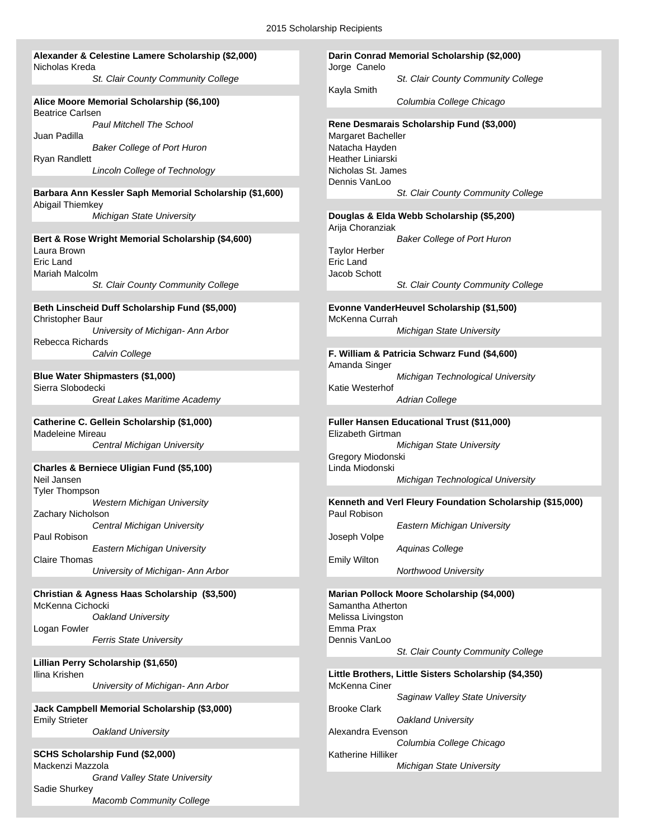#### **Alexander & Celestine Lamere Scholarship (\$2,000) Darin Conrad Memorial Scholarship (\$2,000)** Nicholas Kreda Jorge Canelo

*St. Clair County Community College St. Clair County Community College*

#### **Alice Moore Memorial Scholarship (\$6,100)** *Columbia College Chicago* Beatrice Carlsen Juan Padilla<br>Baker College of Port Huron Matacha Havden Natacha Havden **Baker College of Port Huron** Ryan Randlett **Heather Liniarski**

**Lincoln College of Technology Nicholas St. James** 

#### **Barbara Ann Kessler Saph Memorial Scholarship (\$1,600)** *St. Clair County Community College* Abigail Thiemkey

#### Laura Brown Taylor Herber<br>
Fric Land Fric Land Fric Land Eric Land Eric Land Mariah Malcolm Jacob Schott *St. Clair County Community College St. Clair County Community College*

#### **Beth Linscheid Duff Scholarship Fund (\$5,000) Evonne VanderHeuvel Scholarship (\$1,500)** Christopher Baur MacKenna Currah McKenna Currah McKenna Currah McKenna Currah McKenna Currah McKenna Currah Mc

Rebecca Richards

**Blue Water Shipmasters (\$1,000)** *Michigan Technological University* Sierra Slobodecki Katie Westerhof Katie Westerhof **Great Lakes Maritime Academy Adrian College** Adrian College

## Madeleine Mireau Elizabeth Girtman

#### **Charles & Berniece Uligian Fund (\$5,100)** Linda Miodonski

Tyler Thompson Zachary Nicholson Paul Robison **Disk and American Contract Contract Contract Contract Contract Contract Contract Contract Contract Contract Contract Contract Contract Contract Contract Contract Contract Contract Contract Contract Contract C** *Eastern Michigan University Aquinas College*

Claire Thomas Emily Wilton *University of Michigan- Ann Arbor Northwood University*

#### McKenna Cichocki Samantha Atherton Samantha Atherton **Oakland University** Melissa Livingston Logan Fowler **Emma Prax**

**Ferris State University Dennis VanLoo** 

**Lillian Perry Scholarship (\$1,650) University of Michigan- Ann Arbor** McKenna Ciner

**Jack Campbell Memorial Scholarship (\$3,000)** Brooke Clark Emily Strieter *Oakland University*

#### **SCHS Scholarship Fund (\$2,000)** Katherine Hilliker Mackenzi Mazzola *Michigan State University Grand Valley State University* Sadie Shurkey

*Macomb Community College*

Kayla Smith

# *Paul Mitchell The School* **Rene Desmarais Scholarship Fund (\$3,000)** Dennis VanLoo

### *Michigan State University* **Douglas & Elda Webb Scholarship (\$5,200)** Arija Choranziak **Bert & Rose Wright Memorial Scholarship (\$4,600)** *Baker College of Port Huron*

*University of Michigan- Ann Arbor Michigan State University*

#### *Calvin College* **F. William & Patricia Schwarz Fund (\$4,600)** Amanda Singer

### **Catherine C. Gellein Scholarship (\$1,000) Fuller Hansen Educational Trust (\$11,000) Central Michigan University Michigan State University Michigan State University** Gregory Miodonski Neil Jansen *Michigan Technological University*

*Western Michigan University* **Kenneth and Verl Fleury Foundation Scholarship (\$15,000)**

*Central Michigan University Eastern Michigan University*

## **Christian & Agness Haas Scholarship (\$3,500) Marian Pollock Moore Scholarship (\$4,000)** *St. Clair County Community College*

Ilina Krishen **Little Brothers, Little Sisters Scholarship (\$4,350)** *Saginaw Valley State University* **Oakland University Alexandra Evenson** *Columbia College Chicago*